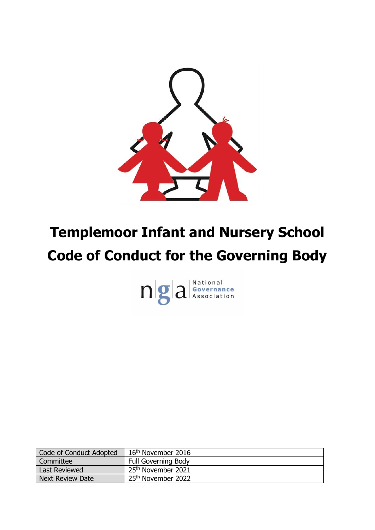

# **Templemoor Infant and Nursery School Code of Conduct for the Governing Body**



| Code of Conduct Adopted | 16 <sup>th</sup> November 2016 |
|-------------------------|--------------------------------|
| Committee               | <b>Full Governing Body</b>     |
| <b>Last Reviewed</b>    | 25 <sup>th</sup> November 2021 |
| <b>Next Review Date</b> | 25 <sup>th</sup> November 2022 |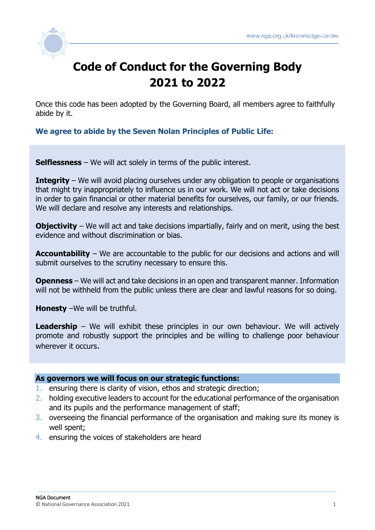

## **Code of Conduct for the Governing Body 2021 to 2022**

Once this code has been adopted by the Governing Board, all members agree to faithfully abide by it.

**We agree to abide by the Seven Nolan Principles of Public Life:**

**Selflessness** – We will act solely in terms of the public interest.

**Integrity** – We will avoid placing ourselves under any obligation to people or organisations that might try inappropriately to influence us in our work. We will not act or take decisions in order to gain financial or other material benefits for ourselves, our family, or our friends. We will declare and resolve any interests and relationships.

**Objectivity** – We will act and take decisions impartially, fairly and on merit, using the best evidence and without discrimination or bias.

**Accountability** – We are accountable to the public for our decisions and actions and will submit ourselves to the scrutiny necessary to ensure this.

**Openness** – We will act and take decisions in an open and transparent manner. Information will not be withheld from the public unless there are clear and lawful reasons for so doing.

**Honesty** –We will be truthful.

**Leadership** – We will exhibit these principles in our own behaviour. We will actively promote and robustly support the principles and be willing to challenge poor behaviour wherever it occurs.

#### **As governors we will focus on our strategic functions:**

- 1. ensuring there is clarity of vision, ethos and strategic direction;
- 2. holding executive leaders to account for the educational performance of the organisation and its pupils and the performance management of staff;
- 3. overseeing the financial performance of the organisation and making sure its money is well spent;
- 4. ensuring the voices of stakeholders are heard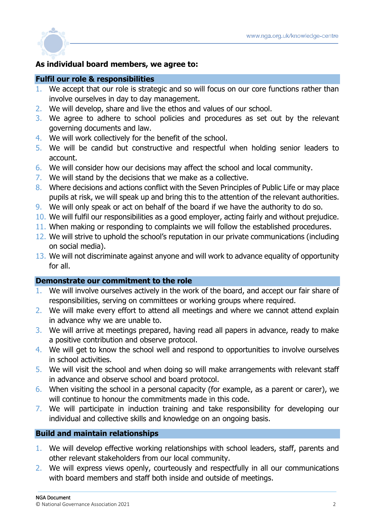

#### **As individual board members, we agree to:**

#### **Fulfil our role & responsibilities**

- 1. We accept that our role is strategic and so will focus on our core functions rather than involve ourselves in day to day management.
- 2. We will develop, share and live the ethos and values of our school.
- 3. We agree to adhere to school policies and procedures as set out by the relevant governing documents and law.
- 4. We will work collectively for the benefit of the school.
- 5. We will be candid but constructive and respectful when holding senior leaders to account.
- 6. We will consider how our decisions may affect the school and local community.
- 7. We will stand by the decisions that we make as a collective.
- 8. Where decisions and actions conflict with the Seven Principles of Public Life or may place pupils at risk, we will speak up and bring this to the attention of the relevant authorities.
- 9. We will only speak or act on behalf of the board if we have the authority to do so.
- 10. We will fulfil our responsibilities as a good employer, acting fairly and without prejudice.
- 11. When making or responding to complaints we will follow the established procedures.
- 12. We will strive to uphold the school's reputation in our private communications (including on social media).
- 13. We will not discriminate against anyone and will work to advance equality of opportunity for all.

#### **Demonstrate our commitment to the role**

- 1. We will involve ourselves actively in the work of the board, and accept our fair share of responsibilities, serving on committees or working groups where required.
- 2. We will make every effort to attend all meetings and where we cannot attend explain in advance why we are unable to.
- 3. We will arrive at meetings prepared, having read all papers in advance, ready to make a positive contribution and observe protocol.
- 4. We will get to know the school well and respond to opportunities to involve ourselves in school activities.
- 5. We will visit the school and when doing so will make arrangements with relevant staff in advance and observe school and board protocol.
- 6. When visiting the school in a personal capacity (for example, as a parent or carer), we will continue to honour the commitments made in this code.
- 7. We will participate in induction training and take responsibility for developing our individual and collective skills and knowledge on an ongoing basis.

#### **Build and maintain relationships**

- 1. We will develop effective working relationships with school leaders, staff, parents and other relevant stakeholders from our local community.
- 2. We will express views openly, courteously and respectfully in all our communications with board members and staff both inside and outside of meetings.